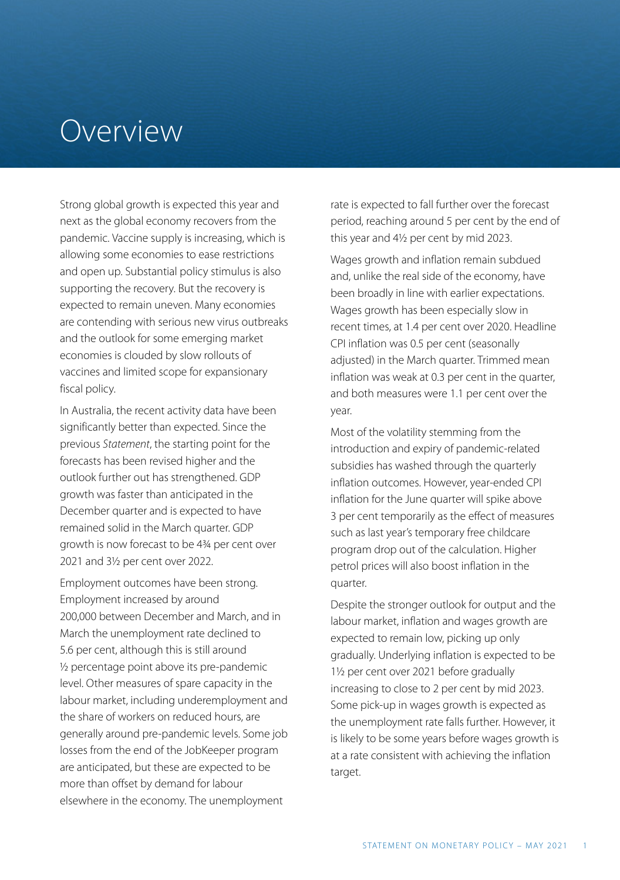## Overview

Strong global growth is expected this year and next as the global economy recovers from the pandemic. Vaccine supply is increasing, which is allowing some economies to ease restrictions and open up. Substantial policy stimulus is also supporting the recovery. But the recovery is expected to remain uneven. Many economies are contending with serious new virus outbreaks and the outlook for some emerging market economies is clouded by slow rollouts of vaccines and limited scope for expansionary fiscal policy.

In Australia, the recent activity data have been significantly better than expected. Since the previous *Statement*, the starting point for the forecasts has been revised higher and the outlook further out has strengthened. GDP growth was faster than anticipated in the December quarter and is expected to have remained solid in the March quarter. GDP growth is now forecast to be 4¾ per cent over 2021 and 3½ per cent over 2022.

Employment outcomes have been strong. Employment increased by around 200,000 between December and March, and in March the unemployment rate declined to 5.6 per cent, although this is still around ½ percentage point above its pre-pandemic level. Other measures of spare capacity in the labour market, including underemployment and the share of workers on reduced hours, are generally around pre-pandemic levels. Some job losses from the end of the JobKeeper program are anticipated, but these are expected to be more than offset by demand for labour elsewhere in the economy. The unemployment

rate is expected to fall further over the forecast period, reaching around 5 per cent by the end of this year and 4½ per cent by mid 2023.

Wages growth and inflation remain subdued and, unlike the real side of the economy, have been broadly in line with earlier expectations. Wages growth has been especially slow in recent times, at 1.4 per cent over 2020. Headline CPI inflation was 0.5 per cent (seasonally adjusted) in the March quarter. Trimmed mean inflation was weak at 0.3 per cent in the quarter, and both measures were 1.1 per cent over the year.

Most of the volatility stemming from the introduction and expiry of pandemic-related subsidies has washed through the quarterly inflation outcomes. However, year-ended CPI inflation for the June quarter will spike above 3 per cent temporarily as the effect of measures such as last year's temporary free childcare program drop out of the calculation. Higher petrol prices will also boost inflation in the quarter.

Despite the stronger outlook for output and the labour market, inflation and wages growth are expected to remain low, picking up only gradually. Underlying inflation is expected to be 1½ per cent over 2021 before gradually increasing to close to 2 per cent by mid 2023. Some pick-up in wages growth is expected as the unemployment rate falls further. However, it is likely to be some years before wages growth is at a rate consistent with achieving the inflation target.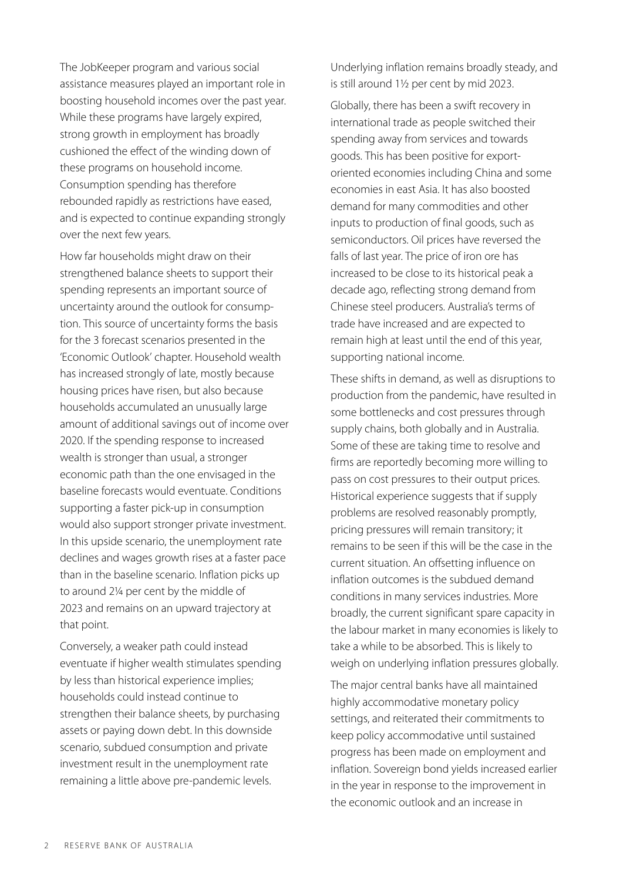The JobKeeper program and various social assistance measures played an important role in boosting household incomes over the past year. While these programs have largely expired, strong growth in employment has broadly cushioned the effect of the winding down of these programs on household income. Consumption spending has therefore rebounded rapidly as restrictions have eased, and is expected to continue expanding strongly over the next few years.

How far households might draw on their strengthened balance sheets to support their spending represents an important source of uncertainty around the outlook for consumption. This source of uncertainty forms the basis for the 3 forecast scenarios presented in the 'Economic Outlook' chapter. Household wealth has increased strongly of late, mostly because housing prices have risen, but also because households accumulated an unusually large amount of additional savings out of income over 2020. If the spending response to increased wealth is stronger than usual, a stronger economic path than the one envisaged in the baseline forecasts would eventuate. Conditions supporting a faster pick-up in consumption would also support stronger private investment. In this upside scenario, the unemployment rate declines and wages growth rises at a faster pace than in the baseline scenario. Inflation picks up to around 2¼ per cent by the middle of 2023 and remains on an upward trajectory at that point.

Conversely, a weaker path could instead eventuate if higher wealth stimulates spending by less than historical experience implies; households could instead continue to strengthen their balance sheets, by purchasing assets or paying down debt. In this downside scenario, subdued consumption and private investment result in the unemployment rate remaining a little above pre-pandemic levels.

Underlying inflation remains broadly steady, and is still around 1½ per cent by mid 2023.

Globally, there has been a swift recovery in international trade as people switched their spending away from services and towards goods. This has been positive for exportoriented economies including China and some economies in east Asia. It has also boosted demand for many commodities and other inputs to production of final goods, such as semiconductors. Oil prices have reversed the falls of last year. The price of iron ore has increased to be close to its historical peak a decade ago, reflecting strong demand from Chinese steel producers. Australia's terms of trade have increased and are expected to remain high at least until the end of this year, supporting national income.

These shifts in demand, as well as disruptions to production from the pandemic, have resulted in some bottlenecks and cost pressures through supply chains, both globally and in Australia. Some of these are taking time to resolve and firms are reportedly becoming more willing to pass on cost pressures to their output prices. Historical experience suggests that if supply problems are resolved reasonably promptly, pricing pressures will remain transitory; it remains to be seen if this will be the case in the current situation. An offsetting influence on inflation outcomes is the subdued demand conditions in many services industries. More broadly, the current significant spare capacity in the labour market in many economies is likely to take a while to be absorbed. This is likely to weigh on underlying inflation pressures globally.

The major central banks have all maintained highly accommodative monetary policy settings, and reiterated their commitments to keep policy accommodative until sustained progress has been made on employment and inflation. Sovereign bond yields increased earlier in the year in response to the improvement in the economic outlook and an increase in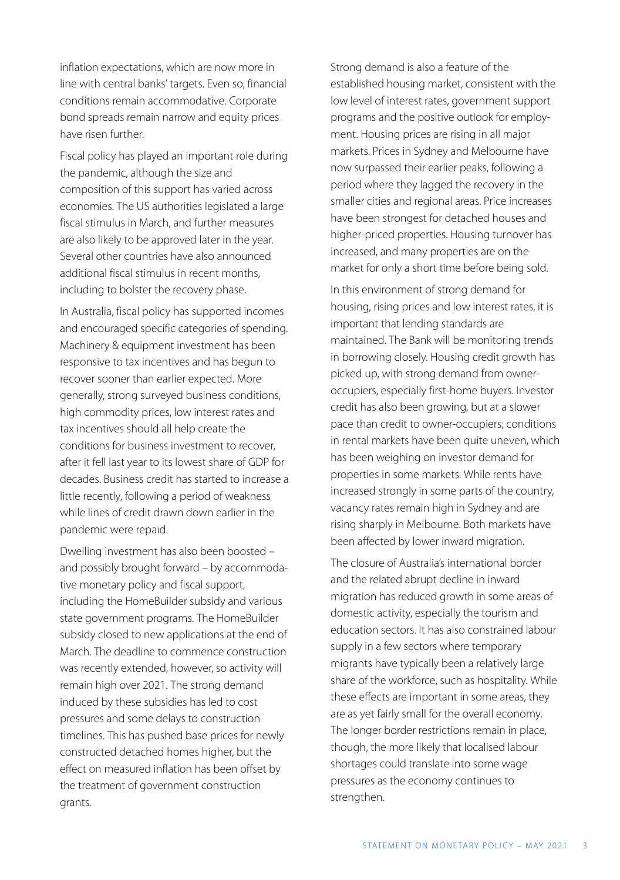inflation expectations, which are now more in line with central banks' targets. Even so, financial conditions remain accommodative. Corporate bond spreads remain narrow and equity prices have risen further.

Fiscal policy has played an important role during the pandemic, although the size and composition of this support has varied across economies. The US authorities legislated a large fiscal stimulus in March, and further measures are also likely to be approved later in the year. Several other countries have also announced additional fiscal stimulus in recent months, including to bolster the recovery phase.

In Australia, fiscal policy has supported incomes and encouraged specific categories of spending. Machinery & equipment investment has been responsive to tax incentives and has begun to recover sooner than earlier expected. More generally, strong surveyed business conditions, high commodity prices, low interest rates and tax incentives should all help create the conditions for business investment to recover, after it fell last year to its lowest share of GDP for decades. Business credit has started to increase a little recently, following a period of weakness while lines of credit drawn down earlier in the pandemic were repaid.

Dwelling investment has also been boosted – and possibly brought forward – by accommodative monetary policy and fiscal support, including the HomeBuilder subsidy and various state government programs. The HomeBuilder subsidy closed to new applications at the end of March. The deadline to commence construction was recently extended, however, so activity will remain high over 2021. The strong demand induced by these subsidies has led to cost pressures and some delays to construction timelines. This has pushed base prices for newly constructed detached homes higher, but the effect on measured inflation has been offset by the treatment of government construction grants.

Strong demand is also a feature of the established housing market, consistent with the low level of interest rates, government support programs and the positive outlook for employment. Housing prices are rising in all major markets. Prices in Sydney and Melbourne have now surpassed their earlier peaks, following a period where they lagged the recovery in the smaller cities and regional areas. Price increases have been strongest for detached houses and higher-priced properties. Housing turnover has increased, and many properties are on the market for only a short time before being sold.

In this environment of strong demand for housing, rising prices and low interest rates, it is important that lending standards are maintained. The Bank will be monitoring trends in borrowing closely. Housing credit growth has picked up, with strong demand from owneroccupiers, especially first-home buyers. Investor credit has also been growing, but at a slower pace than credit to owner-occupiers; conditions in rental markets have been quite uneven, which has been weighing on investor demand for properties in some markets. While rents have increased strongly in some parts of the country, vacancy rates remain high in Sydney and are rising sharply in Melbourne. Both markets have been affected by lower inward migration.

The closure of Australia's international border and the related abrupt decline in inward migration has reduced growth in some areas of domestic activity, especially the tourism and education sectors. It has also constrained labour supply in a few sectors where temporary migrants have typically been a relatively large share of the workforce, such as hospitality. While these effects are important in some areas, they are as yet fairly small for the overall economy. The longer border restrictions remain in place, though, the more likely that localised labour shortages could translate into some wage pressures as the economy continues to strengthen.